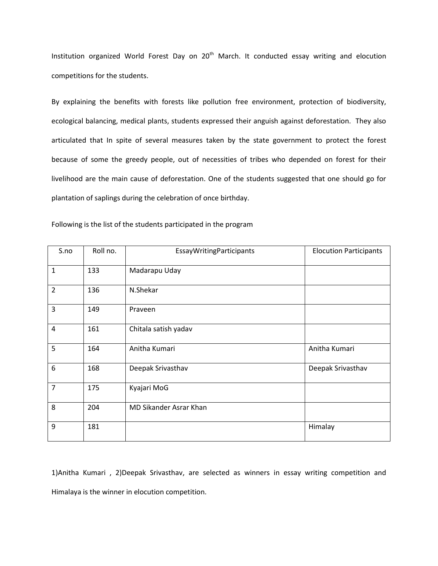Institution organized World Forest Day on 20<sup>th</sup> March. It conducted essay writing and elocution competitions for the students.

By explaining the benefits with forests like pollution free environment, protection of biodiversity, ecological balancing, medical plants, students expressed their anguish against deforestation. They also articulated that In spite of several measures taken by the state government to protect the forest because of some the greedy people, out of necessities of tribes who depended on forest for their livelihood are the main cause of deforestation. One of the students suggested that one should go for plantation of saplings during the celebration of once birthday.

| S.no           | Roll no. | EssayWritingParticipants | <b>Elocution Participants</b> |
|----------------|----------|--------------------------|-------------------------------|
| $\mathbf{1}$   | 133      | Madarapu Uday            |                               |
| $\overline{2}$ | 136      | N.Shekar                 |                               |
| 3              | 149      | Praveen                  |                               |
| 4              | 161      | Chitala satish yadav     |                               |
| 5              | 164      | Anitha Kumari            | Anitha Kumari                 |
| 6              | 168      | Deepak Srivasthav        | Deepak Srivasthav             |
| $\overline{7}$ | 175      | Kyajari MoG              |                               |
| 8              | 204      | MD Sikander Asrar Khan   |                               |
| 9              | 181      |                          | Himalay                       |

Following is the list of the students participated in the program

1)Anitha Kumari , 2)Deepak Srivasthav, are selected as winners in essay writing competition and Himalaya is the winner in elocution competition.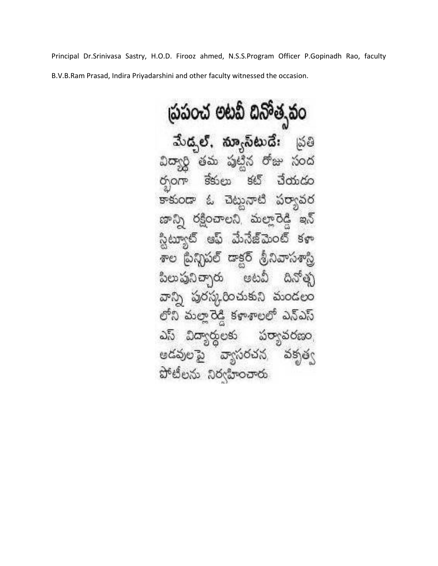Principal Dr.Srinivasa Sastry, H.O.D. Firooz ahmed, N.S.S.Program Officer P.Gopinadh Rao, faculty B.V.B.Ram Prasad, Indira Priyadarshini and other faculty witnessed the occasion.

ప్రపంచ అటవీ దినోత్సవం మే**డ్సల్, న్యూస్**టుడే: ప్రతి విద్యార్థి తమ పుట్టిన రోజు సంద ర్భంగా కేకులు కట్ చేయడం ఓ చెట్టునాటి పర్యావర కాకుండా ణాన్ని రక్షించాలని మల్లారెడ్డి ఇన్ స్టీట్యూట్ ఆఫ్ మేనేజ్మెంట్ కళా శాల పిన్నిపల్ డాక్టర్ శ్రీనివాసశాస్త్రి పిలుపునిచ్చారు అటవీ దినోత్స వాన్ని పురస్కరించుకుని మండలం లోని మల్లారెడ్డి కళాశాలలో ఎన్ఎస్ ఎస్ విద్యార్థలకు పర్యావరణం, ఆడవులపై వ్యాసరచన వకృత్వ పోటీలను నిర్వహించారు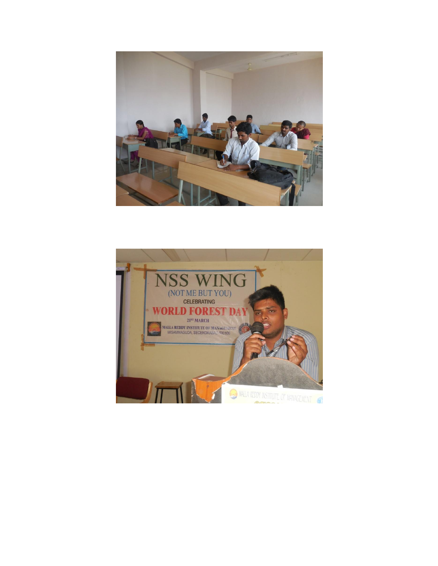